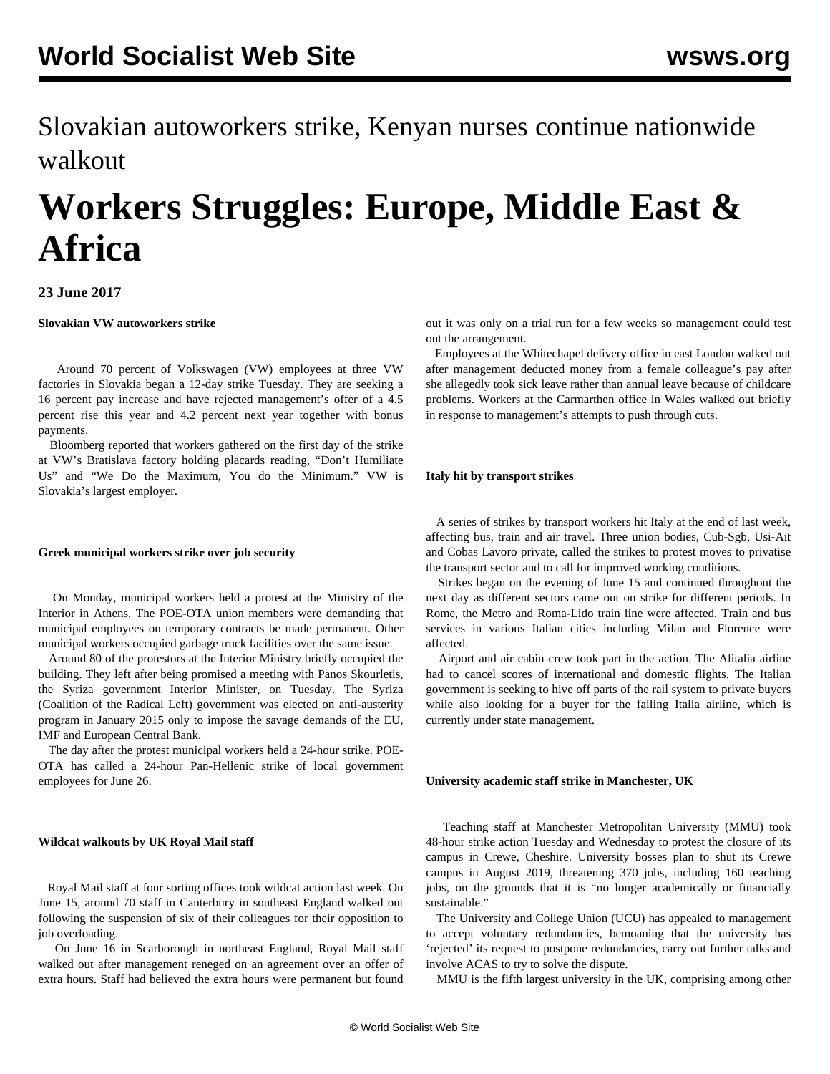Slovakian autoworkers strike, Kenyan nurses continue nationwide walkout

# **Workers Struggles: Europe, Middle East & Africa**

# **23 June 2017**

## **Slovakian VW autoworkers strike**

 Around 70 percent of Volkswagen (VW) employees at three VW factories in Slovakia began a [12-day strike](/en/articles/2017/06/22/slov-j22.html) Tuesday. They are seeking a 16 percent pay increase and have rejected management's offer of a 4.5 percent rise this year and 4.2 percent next year together with bonus payments.

 Bloomberg reported that workers gathered on the first day of the strike at VW's Bratislava factory holding placards reading, "Don't Humiliate Us" and "We Do the Maximum, You do the Minimum." VW is Slovakia's largest employer.

## **Greek municipal workers strike over job security**

 On Monday, municipal workers held a protest at the Ministry of the Interior in Athens. The POE-OTA union members were demanding that municipal employees on temporary contracts be made permanent. Other municipal workers occupied garbage truck facilities over the same issue.

 Around 80 of the protestors at the Interior Ministry briefly occupied the building. They left after being promised a meeting with Panos Skourletis, the Syriza government Interior Minister, on Tuesday. The Syriza (Coalition of the Radical Left) government was elected on anti-austerity program in January 2015 only to impose the savage demands of the EU, IMF and European Central Bank.

 The day after the protest municipal workers held a 24-hour strike. POE-OTA has called a 24-hour Pan-Hellenic strike of local government employees for June 26.

## **Wildcat walkouts by UK Royal Mail staff**

 Royal Mail staff at four sorting offices took wildcat action last week. On June 15, around 70 staff in Canterbury in southeast England walked out following the suspension of six of their colleagues for their opposition to job overloading.

 On June 16 in Scarborough in northeast England, Royal Mail staff walked out after management reneged on an agreement over an offer of extra hours. Staff had believed the extra hours were permanent but found out it was only on a trial run for a few weeks so management could test out the arrangement.

 Employees at the Whitechapel delivery office in east London walked out after management deducted money from a female colleague's pay after she allegedly took sick leave rather than annual leave because of childcare problems. Workers at the Carmarthen office in Wales walked out briefly in response to management's attempts to push through cuts.

## **Italy hit by transport strikes**

 A series of strikes by transport workers hit Italy at the end of last week, affecting bus, train and air travel. Three union bodies, Cub-Sgb, Usi-Ait and Cobas Lavoro private, called the strikes to protest moves to privatise the transport sector and to call for improved working conditions.

 Strikes began on the evening of June 15 and continued throughout the next day as different sectors came out on strike for different periods. In Rome, the Metro and Roma-Lido train line were affected. Train and bus services in various Italian cities including Milan and Florence were affected.

 Airport and air cabin crew took part in the action. The Alitalia airline had to cancel scores of international and domestic flights. The Italian government is seeking to hive off parts of the rail system to private buyers while also looking for a buyer for the failing Italia airline, which is currently under state management.

## **University academic staff strike in Manchester, UK**

 Teaching staff at Manchester Metropolitan University (MMU) took 48-hour strike action Tuesday and Wednesday to protest the closure of its campus in Crewe, Cheshire. University bosses plan to shut its Crewe campus in August 2019, threatening 370 jobs, including 160 teaching jobs, on the grounds that it is "no longer academically or financially sustainable."

 The University and College Union (UCU) has appealed to management to accept voluntary redundancies, bemoaning that the university has 'rejected' its request to postpone redundancies, carry out further talks and involve ACAS to try to solve the dispute.

MMU is the fifth largest university in the UK, comprising among other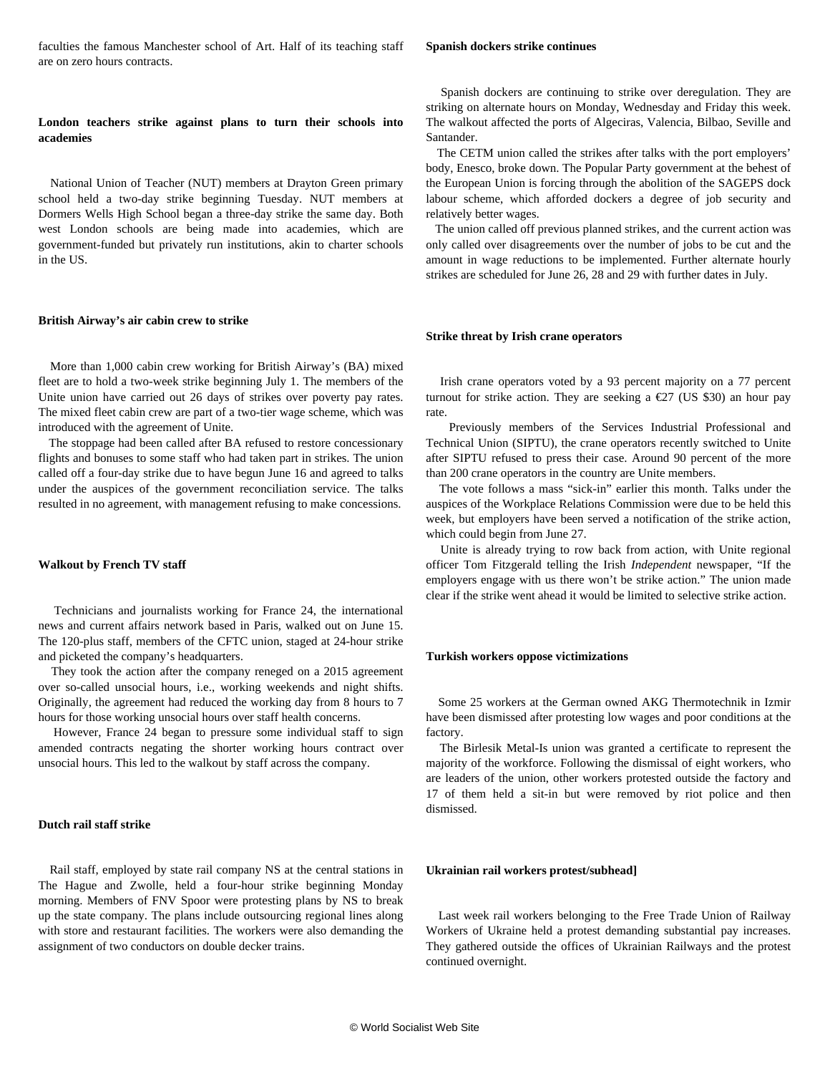faculties the famous Manchester school of Art. Half of its teaching staff are on zero hours contracts.

## **London teachers strike against plans to turn their schools into academies**

 National Union of Teacher (NUT) members at Drayton Green primary school held a two-day strike beginning Tuesday. NUT members at Dormers Wells High School began a three-day strike the same day. Both west London schools are being made into academies, which are government-funded but privately run institutions, akin to charter schools in the US.

#### **British Airway's air cabin crew to strike**

 More than 1,000 cabin crew working for British Airway's (BA) mixed fleet are to hold a two-week strike beginning July 1. The members of the Unite union have carried out 26 days of strikes over poverty pay rates. The mixed fleet cabin crew are part of a two-tier wage scheme, which was introduced with the agreement of Unite.

 The stoppage had been called after BA refused to restore concessionary flights and bonuses to some staff who had taken part in strikes. The union called off a four-day strike due to have begun June 16 and agreed to talks under the auspices of the government reconciliation service. The talks resulted in no agreement, with management refusing to make concessions.

## **Walkout by French TV staff**

 Technicians and journalists working for France 24, the international news and current affairs network based in Paris, walked out on June 15. The 120-plus staff, members of the CFTC union, staged at 24-hour strike and picketed the company's headquarters.

 They took the action after the company reneged on a 2015 agreement over so-called unsocial hours, i.e., working weekends and night shifts. Originally, the agreement had reduced the working day from 8 hours to 7 hours for those working unsocial hours over staff health concerns.

 However, France 24 began to pressure some individual staff to sign amended contracts negating the shorter working hours contract over unsocial hours. This led to the walkout by staff across the company.

## **Dutch rail staff strike**

 Rail staff, employed by state rail company NS at the central stations in The Hague and Zwolle, held a four-hour strike beginning Monday morning. Members of FNV Spoor were protesting plans by NS to break up the state company. The plans include outsourcing regional lines along with store and restaurant facilities. The workers were also demanding the assignment of two conductors on double decker trains.

#### **Spanish dockers strike continues**

 Spanish dockers are continuing to strike over deregulation. They are striking on alternate hours on Monday, Wednesday and Friday this week. The walkout affected the ports of Algeciras, Valencia, Bilbao, Seville and Santander.

 The CETM union called the strikes after talks with the port employers' body, Enesco, broke down. The Popular Party government at the behest of the European Union is forcing through the abolition of the SAGEPS dock labour scheme, which afforded dockers a degree of job security and relatively better wages.

 The union called off previous planned strikes, and the current action was only called over disagreements over the number of jobs to be cut and the amount in wage reductions to be implemented. Further alternate hourly strikes are scheduled for June 26, 28 and 29 with further dates in July.

#### **Strike threat by Irish crane operators**

 Irish crane operators voted by a 93 percent majority on a 77 percent turnout for strike action. They are seeking a  $\epsilon$ 27 (US \$30) an hour pay rate.

 Previously members of the Services Industrial Professional and Technical Union (SIPTU), the crane operators recently switched to Unite after SIPTU refused to press their case. Around 90 percent of the more than 200 crane operators in the country are Unite members.

 The vote follows a mass "sick-in" earlier this month. Talks under the auspices of the Workplace Relations Commission were due to be held this week, but employers have been served a notification of the strike action, which could begin from June 27.

 Unite is already trying to row back from action, with Unite regional officer Tom Fitzgerald telling the Irish *Independent* newspaper, "If the employers engage with us there won't be strike action." The union made clear if the strike went ahead it would be limited to selective strike action.

#### **Turkish workers oppose victimizations**

 Some 25 workers at the German owned AKG Thermotechnik in Izmir have been dismissed after protesting low wages and poor conditions at the factory.

 The Birlesik Metal-Is union was granted a certificate to represent the majority of the workforce. Following the dismissal of eight workers, who are leaders of the union, other workers protested outside the factory and 17 of them held a sit-in but were removed by riot police and then dismissed.

## **Ukrainian rail workers protest/subhead]**

 Last week rail workers belonging to the Free Trade Union of Railway Workers of Ukraine held a protest demanding substantial pay increases. They gathered outside the offices of Ukrainian Railways and the protest continued overnight.